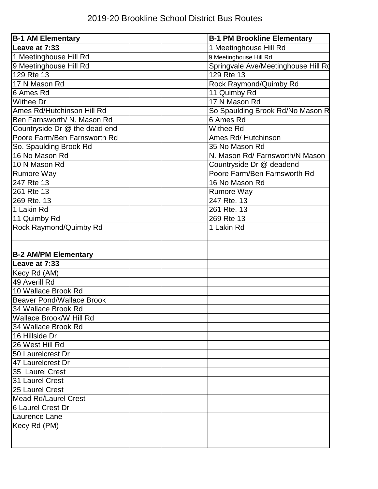| <b>B-1 AM Elementary</b>         | <b>B-1 PM Brookline Elementary</b>  |
|----------------------------------|-------------------------------------|
| Leave at 7:33                    | 1 Meetinghouse Hill Rd              |
| 1 Meetinghouse Hill Rd           | 9 Meetinghouse Hill Rd              |
| 9 Meetinghouse Hill Rd           | Springvale Ave/Meetinghouse Hill Ro |
| 129 Rte 13                       | 129 Rte 13                          |
| 17 N Mason Rd                    | Rock Raymond/Quimby Rd              |
| 6 Ames Rd                        | 11 Quimby Rd                        |
| <b>Withee Dr</b>                 | 17 N Mason Rd                       |
| Ames Rd/Hutchinson Hill Rd       | So Spaulding Brook Rd/No Mason R    |
| Ben Farnsworth/ N. Mason Rd      | 6 Ames Rd                           |
| Countryside Dr @ the dead end    | Withee Rd                           |
| Poore Farm/Ben Farnsworth Rd     | Ames Rd/ Hutchinson                 |
| So. Spaulding Brook Rd           | 35 No Mason Rd                      |
| 16 No Mason Rd                   | N. Mason Rd/ Farnsworth/N Mason     |
| 10 N Mason Rd                    | Countryside Dr @ deadend            |
| <b>Rumore Way</b>                | Poore Farm/Ben Farnsworth Rd        |
| 247 Rte 13                       | 16 No Mason Rd                      |
| 261 Rte 13                       | <b>Rumore Way</b>                   |
| 269 Rte. 13                      | 247 Rte. 13                         |
| 1 Lakin Rd                       | 261 Rte. 13                         |
| 11 Quimby Rd                     | 269 Rte 13                          |
| Rock Raymond/Quimby Rd           | 1 Lakin Rd                          |
|                                  |                                     |
|                                  |                                     |
| <b>B-2 AM/PM Elementary</b>      |                                     |
| Leave at 7:33                    |                                     |
| Kecy Rd (AM)                     |                                     |
| 49 Averill Rd                    |                                     |
| 10 Wallace Brook Rd              |                                     |
| <b>Beaver Pond/Wallace Brook</b> |                                     |
| 34 Wallace Brook Rd              |                                     |
| Wallace Brook/W Hill Rd          |                                     |
| 34 Wallace Brook Rd              |                                     |
| 16 Hillside Dr                   |                                     |
| 26 West Hill Rd                  |                                     |
| 50 Laurelcrest Dr                |                                     |
| 47 Laurelcrest Dr                |                                     |
| 35 Laurel Crest                  |                                     |
| 31 Laurel Crest                  |                                     |
| 25 Laurel Crest                  |                                     |
| <b>Mead Rd/Laurel Crest</b>      |                                     |
| 6 Laurel Crest Dr                |                                     |
| Laurence Lane                    |                                     |
| Kecy Rd (PM)                     |                                     |
|                                  |                                     |
|                                  |                                     |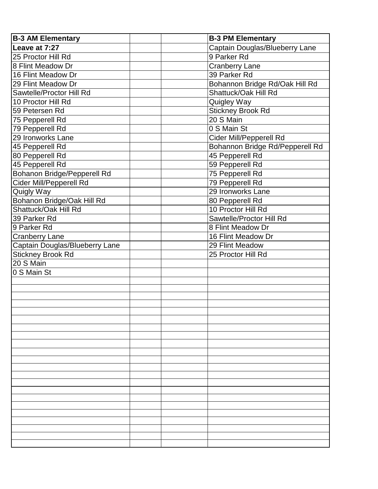| <b>B-3 AM Elementary</b>       |  | <b>B-3 PM Elementary</b>        |
|--------------------------------|--|---------------------------------|
| Leave at 7:27                  |  | Captain Douglas/Blueberry Lane  |
| 25 Proctor Hill Rd             |  | 9 Parker Rd                     |
| 8 Flint Meadow Dr              |  | <b>Cranberry Lane</b>           |
| 16 Flint Meadow Dr             |  | 39 Parker Rd                    |
| 29 Flint Meadow Dr             |  | Bohannon Bridge Rd/Oak Hill Rd  |
| Sawtelle/Proctor Hill Rd       |  | Shattuck/Oak Hill Rd            |
| 10 Proctor Hill Rd             |  | <b>Quigley Way</b>              |
| 59 Petersen Rd                 |  | <b>Stickney Brook Rd</b>        |
| 75 Pepperell Rd                |  | 20 S Main                       |
| 79 Pepperell Rd                |  | 0 S Main St                     |
| 29 Ironworks Lane              |  | Cider Mill/Pepperell Rd         |
| 45 Pepperell Rd                |  | Bohannon Bridge Rd/Pepperell Rd |
| 80 Pepperell Rd                |  | 45 Pepperell Rd                 |
| 45 Pepperell Rd                |  | 59 Pepperell Rd                 |
| Bohanon Bridge/Pepperell Rd    |  | 75 Pepperell Rd                 |
| Cider Mill/Pepperell Rd        |  | 79 Pepperell Rd                 |
| Quigly Way                     |  | 29 Ironworks Lane               |
| Bohanon Bridge/Oak Hill Rd     |  | 80 Pepperell Rd                 |
| Shattuck/Oak Hill Rd           |  | 10 Proctor Hill Rd              |
| 39 Parker Rd                   |  | Sawtelle/Proctor Hill Rd        |
| 9 Parker Rd                    |  | 8 Flint Meadow Dr               |
| <b>Cranberry Lane</b>          |  | 16 Flint Meadow Dr              |
| Captain Douglas/Blueberry Lane |  | 29 Flint Meadow                 |
| <b>Stickney Brook Rd</b>       |  | 25 Proctor Hill Rd              |
| 20 S Main                      |  |                                 |
| 0 S Main St                    |  |                                 |
|                                |  |                                 |
|                                |  |                                 |
|                                |  |                                 |
|                                |  |                                 |
|                                |  |                                 |
|                                |  |                                 |
|                                |  |                                 |
|                                |  |                                 |
|                                |  |                                 |
|                                |  |                                 |
|                                |  |                                 |
|                                |  |                                 |
|                                |  |                                 |
|                                |  |                                 |
|                                |  |                                 |
|                                |  |                                 |
|                                |  |                                 |
|                                |  |                                 |
|                                |  |                                 |
|                                |  |                                 |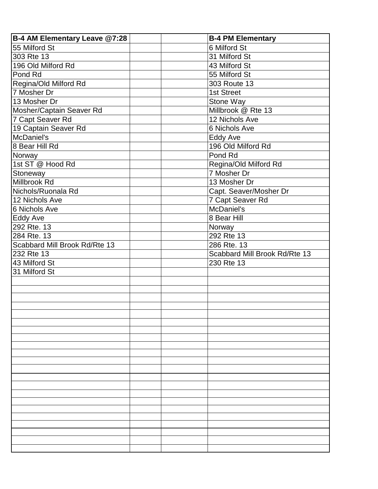| B-4 AM Elementary Leave @7:28 |  | <b>B-4 PM Elementary</b>      |
|-------------------------------|--|-------------------------------|
| 55 Milford St                 |  | 6 Milford St                  |
| 303 Rte 13                    |  | 31 Milford St                 |
| 196 Old Milford Rd            |  | 43 Milford St                 |
| Pond Rd                       |  | 55 Milford St                 |
| Regina/Old Milford Rd         |  | 303 Route 13                  |
| 7 Mosher Dr                   |  | 1st Street                    |
| 13 Mosher Dr                  |  | Stone Way                     |
| Mosher/Captain Seaver Rd      |  | Millbrook @ Rte 13            |
| 7 Capt Seaver Rd              |  | 12 Nichols Ave                |
| 19 Captain Seaver Rd          |  | 6 Nichols Ave                 |
| McDaniel's                    |  | Eddy Ave                      |
| 8 Bear Hill Rd                |  | 196 Old Milford Rd            |
| Norway                        |  | Pond Rd                       |
| 1st ST @ Hood Rd              |  | Regina/Old Milford Rd         |
| Stoneway                      |  | 7 Mosher Dr                   |
| Millbrook Rd                  |  | 13 Mosher Dr                  |
| Nichols/Ruonala Rd            |  | Capt. Seaver/Mosher Dr        |
| 12 Nichols Ave                |  | 7 Capt Seaver Rd              |
| 6 Nichols Ave                 |  | McDaniel's                    |
| Eddy Ave                      |  | 8 Bear Hill                   |
| 292 Rte. 13                   |  | Norway                        |
| 284 Rte. 13                   |  | 292 Rte 13                    |
| Scabbard Mill Brook Rd/Rte 13 |  | 286 Rte. 13                   |
| 232 Rte 13                    |  | Scabbard Mill Brook Rd/Rte 13 |
| 43 Milford St                 |  | 230 Rte 13                    |
| 31 Milford St                 |  |                               |
|                               |  |                               |
|                               |  |                               |
|                               |  |                               |
|                               |  |                               |
|                               |  |                               |
|                               |  |                               |
|                               |  |                               |
|                               |  |                               |
|                               |  |                               |
|                               |  |                               |
|                               |  |                               |
|                               |  |                               |
|                               |  |                               |
|                               |  |                               |
|                               |  |                               |
|                               |  |                               |
|                               |  |                               |
|                               |  |                               |
|                               |  |                               |
|                               |  |                               |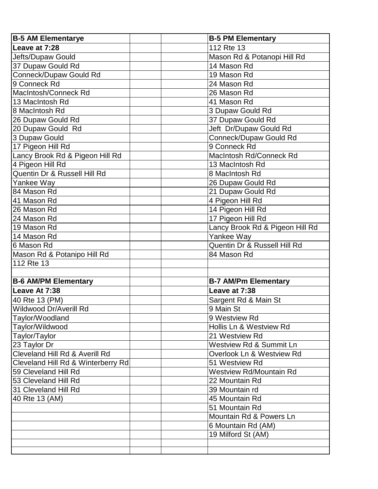| <b>B-5 AM Elementarye</b>          | <b>B-5 PM Elementary</b>           |
|------------------------------------|------------------------------------|
| Leave at 7:28                      | 112 Rte 13                         |
| Jefts/Dupaw Gould                  | Mason Rd & Potanopi Hill Rd        |
| 37 Dupaw Gould Rd                  | 14 Mason Rd                        |
| Conneck/Dupaw Gould Rd             | 19 Mason Rd                        |
| 9 Conneck Rd                       | 24 Mason Rd                        |
| MacIntosh/Conneck Rd               | 26 Mason Rd                        |
| 13 MacIntosh Rd                    | 41 Mason Rd                        |
| 8 MacIntosh Rd                     | 3 Dupaw Gould Rd                   |
| 26 Dupaw Gould Rd                  | 37 Dupaw Gould Rd                  |
| 20 Dupaw Gould Rd                  | Jeft Dr/Dupaw Gould Rd             |
| 3 Dupaw Gould                      | Conneck/Dupaw Gould Rd             |
| 17 Pigeon Hill Rd                  | 9 Conneck Rd                       |
| Lancy Brook Rd & Pigeon Hill Rd    | <b>MacIntosh Rd/Conneck Rd</b>     |
| 4 Pigeon Hill Rd                   | 13 MacIntosh Rd                    |
| Quentin Dr & Russell Hill Rd       | 8 MacIntosh Rd                     |
| Yankee Way                         | 26 Dupaw Gould Rd                  |
| 84 Mason Rd                        | 21 Dupaw Gould Rd                  |
| 41 Mason Rd                        | 4 Pigeon Hill Rd                   |
| 26 Mason Rd                        | 14 Pigeon Hill Rd                  |
| 24 Mason Rd                        | 17 Pigeon Hill Rd                  |
| 19 Mason Rd                        | Lancy Brook Rd & Pigeon Hill Rd    |
| 14 Mason Rd                        | Yankee Way                         |
| 6 Mason Rd                         | Quentin Dr & Russell Hill Rd       |
| Mason Rd & Potanipo Hill Rd        | 84 Mason Rd                        |
| 112 Rte 13                         |                                    |
|                                    |                                    |
| <b>B-6 AM/PM Elementary</b>        | <b>B-7 AM/Pm Elementary</b>        |
| Leave At 7:38                      | Leave at 7:38                      |
| 40 Rte 13 (PM)                     | Sargent Rd & Main St               |
| <b>Wildwood Dr/Averill Rd</b>      | 9 Main St                          |
| Taylor/Woodland                    | 9 Westview Rd                      |
| Taylor/Wildwood                    | Hollis Ln & Westview Rd            |
| Taylor/Taylor                      | 21 Westview Rd                     |
| 23 Taylor Dr                       | <b>Westview Rd &amp; Summit Ln</b> |
| Cleveland Hill Rd & Averill Rd     | Overlook Ln & Westview Rd          |
| Cleveland Hill Rd & Winterberry Rd | 51 Westview Rd                     |
| 59 Cleveland Hill Rd               | <b>Westview Rd/Mountain Rd</b>     |
| 53 Cleveland Hill Rd               | 22 Mountain Rd                     |
| 31 Cleveland Hill Rd               | 39 Mountain rd                     |
| 40 Rte 13 (AM)                     | 45 Mountain Rd                     |
|                                    | 51 Mountain Rd                     |
|                                    | Mountain Rd & Powers Ln            |
|                                    | 6 Mountain Rd (AM)                 |
|                                    | 19 Milford St (AM)                 |
|                                    |                                    |
|                                    |                                    |